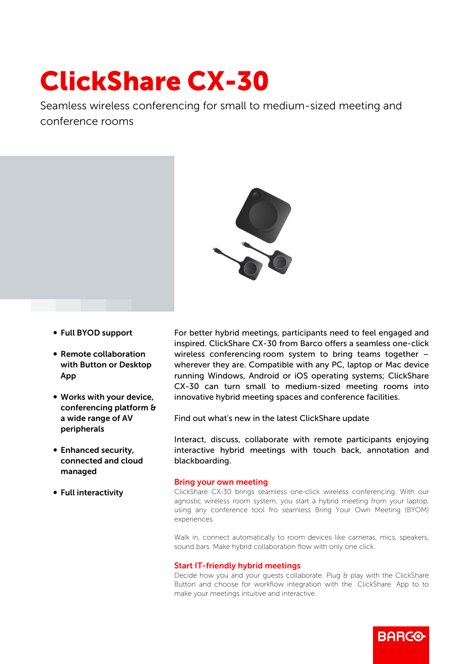# ClickShare CX-30

Seamless wireless conferencing for small to medium-sized meeting and conference rooms



- b Full BYOD support
- Remote collaboration with Button or Desktop App
- Works with your device, conferencing platform & a wide range of AV peripherals
- Enhanced security, connected and cloud managed
- Full interactivity

For better hybrid meetings, participants need to feel engaged and inspired. ClickShare CX-30 from Barco offers a seamless one-click wireless conferencing room system to bring teams together – wherever they are. Compatible with any PC, laptop or Mac device running Windows, Android or iOS operating systems; ClickShare CX-30 can turn small to medium-sized meeting rooms into innovative hybrid meeting spaces and conference facilities.

Find out what's new in the latest ClickShare update

Interact, discuss, collaborate with remote participants enjoying interactive hybrid meetings with touch back, annotation and blackboarding.

## Bring your own meeting

ClickShare CX-30 brings seamless one-click wireless conferencing. With our agnostic wireless room system, you start a hybrid meeting from your laptop, using any conference tool fro seamless Bring Your Own Meeting (BYOM) experiences.

Walk in, connect automatically to room devices like cameras, mics, speakers, sound bars. Make hybrid collaboration flow with only one click.

#### Start IT-friendly hybrid meetings

Decide how you and your quests collaborate. Plug & play with the ClickShare Button and choose for workflow integration with the ClickShare App to to make your meetings intuitive and interactive.

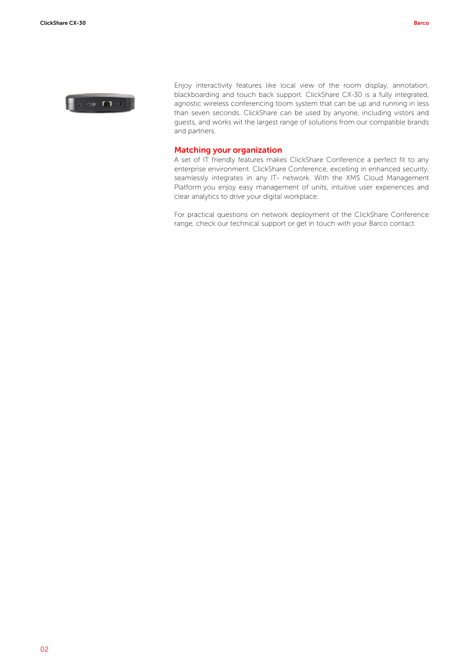

Enjoy interactivity features like local view of the room display, annotation, blackboarding and touch back support. ClickShare CX-30 is a fully integrated, agnostic wireless conferencing toom system that can be up and running in less than seven seconds. ClickShare can be used by anyone, including vistors and guests, and works wit the largest range of solutions from our compatible brands and partners.

## Matching your organization

A set of IT friendly features makes ClickShare Conference a perfect fit to any enterprise environment. ClickShare Conference, excelling in enhanced security, seamlessly integrates in any IT- network. With the XMS Cloud Management Platform you enjoy easy management of units, intuitive user experiences and clear analytics to drive your digital workplace.

For practical questions on network deployment of the ClickShare Conference range, check our technical support or get in touch with your Barco contact